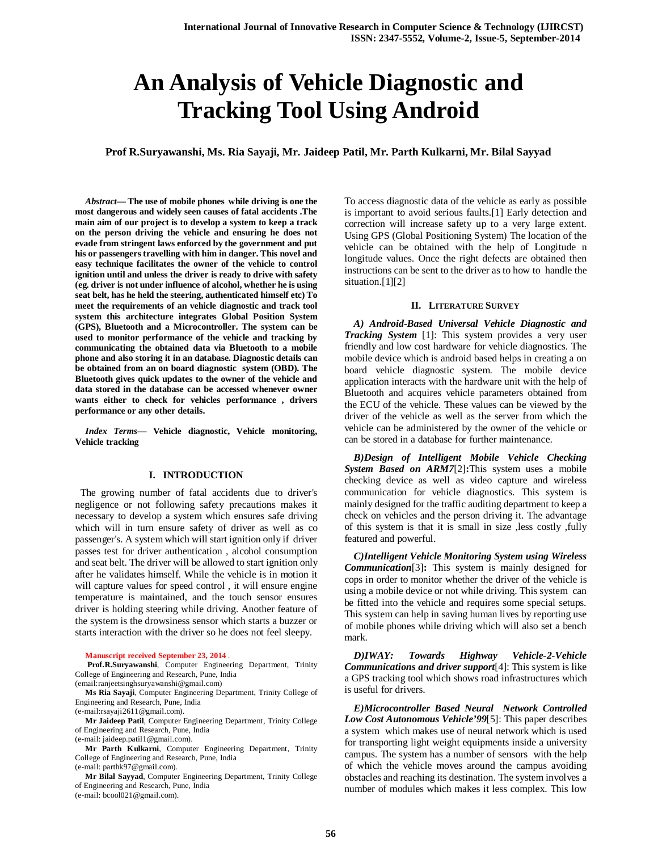# **An Analysis of Vehicle Diagnostic and Tracking Tool Using Android**

**Prof R.Suryawanshi, Ms. Ria Sayaji, Mr. Jaideep Patil, Mr. Parth Kulkarni, Mr. Bilal Sayyad**

*Abstract***— The use of mobile phones while driving is one the most dangerous and widely seen causes of fatal accidents .The main aim of our project is to develop a system to keep a track on the person driving the vehicle and ensuring he does not evade from stringent laws enforced by the government and put his or passengers travelling with him in danger. This novel and easy technique facilitates the owner of the vehicle to control ignition until and unless the driver is ready to drive with safety (eg. driver is not under influence of alcohol, whether he is using seat belt, has he held the steering, authenticated himself etc) To meet the requirements of an vehicle diagnostic and track tool system this architecture integrates Global Position System (GPS), Bluetooth and a Microcontroller. The system can be used to monitor performance of the vehicle and tracking by communicating the obtained data via Bluetooth to a mobile phone and also storing it in an database. Diagnostic details can be obtained from an on board diagnostic system (OBD). The Bluetooth gives quick updates to the owner of the vehicle and data stored in the database can be accessed whenever owner wants either to check for vehicles performance , drivers performance or any other details.**

*Index Terms***— Vehicle diagnostic, Vehicle monitoring, Vehicle tracking**

## **I. INTRODUCTION**

 The growing number of fatal accidents due to driver's negligence or not following safety precautions makes it necessary to develop a system which ensures safe driving which will in turn ensure safety of driver as well as co passenger's. A system which will start ignition only if driver passes test for driver authentication , alcohol consumption and seat belt. The driver will be allowed to start ignition only after he validates himself. While the vehicle is in motion it will capture values for speed control , it will ensure engine temperature is maintained, and the touch sensor ensures driver is holding steering while driving. Another feature of the system is the drowsiness sensor which starts a buzzer or starts interaction with the driver so he does not feel sleepy.

**Manuscript received September 23, 2014** .

**Prof.R.Suryawanshi**, Computer Engineering Department, Trinity College of Engineering and Research, Pune, India (email:ranjeetsinghsuryawanshi@gmail.com)

**Ms Ria Sayaji**, Computer Engineering Department, Trinity College of Engineering and Research, Pune, India

(e-mail:rsayaji2611@gmail.com).

**Mr Jaideep Patil**, Computer Engineering Department, Trinity College of Engineering and Research, Pune, India (e-mail: jaideep.patil1@gmail.com).

**Mr Parth Kulkarni**, Computer Engineering Department, Trinity College of Engineering and Research, Pune, India (e-mail: parthk97@gmail.com).

**Mr Bilal Sayyad**, Computer Engineering Department, Trinity College of Engineering and Research, Pune, India

(e-mail: bcool021@gmail.com).

To access diagnostic data of the vehicle as early as possible is important to avoid serious faults.[1] Early detection and correction will increase safety up to a very large extent. Using GPS (Global Positioning System) The location of the vehicle can be obtained with the help of Longitude n longitude values. Once the right defects are obtained then instructions can be sent to the driver as to how to handle the situation.[1][2]

#### **II. LITERATURE SURVEY**

*A) Android-Based Universal Vehicle Diagnostic and Tracking System* [1]: This system provides a very user friendly and low cost hardware for vehicle diagnostics. The mobile device which is android based helps in creating a on board vehicle diagnostic system. The mobile device application interacts with the hardware unit with the help of Bluetooth and acquires vehicle parameters obtained from the ECU of the vehicle. These values can be viewed by the driver of the vehicle as well as the server from which the vehicle can be administered by the owner of the vehicle or can be stored in a database for further maintenance.

*B)Design of Intelligent Mobile Vehicle Checking System Based on ARM7*[2]**:**This system uses a mobile checking device as well as video capture and wireless communication for vehicle diagnostics. This system is mainly designed for the traffic auditing department to keep a check on vehicles and the person driving it. The advantage of this system is that it is small in size ,less costly ,fully featured and powerful.

*C)Intelligent Vehicle Monitoring System using Wireless Communication*[3]**:** This system is mainly designed for cops in order to monitor whether the driver of the vehicle is using a mobile device or not while driving. This system can be fitted into the vehicle and requires some special setups. This system can help in saving human lives by reporting use of mobile phones while driving which will also set a bench mark.

*D)IWAY: Towards Highway Vehicle-2-Vehicle Communications and driver support*[4]: This system is like a GPS tracking tool which shows road infrastructures which is useful for drivers.

*E)Microcontroller Based Neural Network Controlled Low Cost Autonomous Vehicle'99*[5]: This paper describes a system which makes use of neural network which is used for transporting light weight equipments inside a university campus. The system has a number of sensors with the help of which the vehicle moves around the campus avoiding obstacles and reaching its destination. The system involves a number of modules which makes it less complex. This low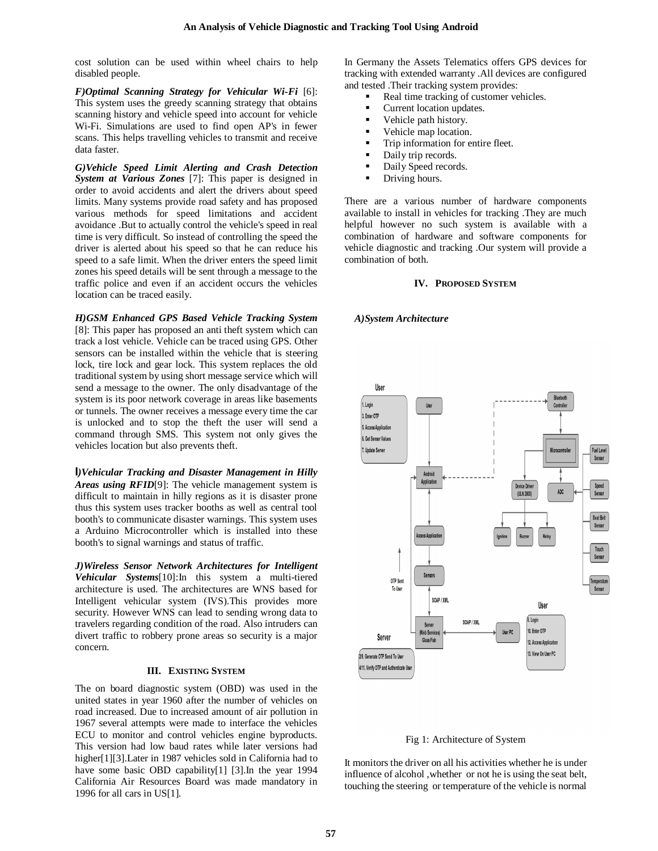cost solution can be used within wheel chairs to help disabled people.

*F)Optimal Scanning Strategy for Vehicular Wi-Fi* [6]: This system uses the greedy scanning strategy that obtains scanning history and vehicle speed into account for vehicle Wi-Fi. Simulations are used to find open AP's in fewer scans. This helps travelling vehicles to transmit and receive data faster.

*G)Vehicle Speed Limit Alerting and Crash Detection System at Various Zones* [7]: This paper is designed in order to avoid accidents and alert the drivers about speed limits. Many systems provide road safety and has proposed various methods for speed limitations and accident avoidance .But to actually control the vehicle's speed in real time is very difficult. So instead of controlling the speed the driver is alerted about his speed so that he can reduce his speed to a safe limit. When the driver enters the speed limit zones his speed details will be sent through a message to the traffic police and even if an accident occurs the vehicles location can be traced easily.

*H)GSM Enhanced GPS Based Vehicle Tracking System* [8]: This paper has proposed an anti theft system which can track a lost vehicle. Vehicle can be traced using GPS. Other sensors can be installed within the vehicle that is steering lock, tire lock and gear lock. This system replaces the old traditional system by using short message service which will send a message to the owner. The only disadvantage of the system is its poor network coverage in areas like basements or tunnels. The owner receives a message every time the car is unlocked and to stop the theft the user will send a command through SMS. This system not only gives the vehicles location but also prevents theft.

*I)Vehicular Tracking and Disaster Management in Hilly Areas using RFID*[9]: The vehicle management system is difficult to maintain in hilly regions as it is disaster prone thus this system uses tracker booths as well as central tool booth's to communicate disaster warnings. This system uses a Arduino Microcontroller which is installed into these booth's to signal warnings and status of traffic.

*J)Wireless Sensor Network Architectures for Intelligent Vehicular Systems*[10]:In this system a multi-tiered architecture is used. The architectures are WNS based for Intelligent vehicular system (IVS).This provides more security. However WNS can lead to sending wrong data to travelers regarding condition of the road. Also intruders can divert traffic to robbery prone areas so security is a major concern.

## **III. EXISTING SYSTEM**

The on board diagnostic system (OBD) was used in the united states in year 1960 after the number of vehicles on road increased. Due to increased amount of air pollution in 1967 several attempts were made to interface the vehicles ECU to monitor and control vehicles engine byproducts. This version had low baud rates while later versions had higher[1][3].Later in 1987 vehicles sold in California had to have some basic OBD capability[1] [3].In the year 1994 California Air Resources Board was made mandatory in 1996 for all cars in US[1].

In Germany the Assets Telematics offers GPS devices for tracking with extended warranty .All devices are configured and tested .Their tracking system provides:

- Real time tracking of customer vehicles.
- Current location updates.
- Vehicle path history.
- Vehicle map location.
- Trip information for entire fleet.
- Daily trip records.
- Daily Speed records.
- Driving hours.

There are a various number of hardware components available to install in vehicles for tracking .They are much helpful however no such system is available with a combination of hardware and software components for vehicle diagnostic and tracking .Our system will provide a combination of both.

## **IV. PROPOSED SYSTEM**

#### *A)System Architecture*



#### Fig 1: Architecture of System

It monitors the driver on all his activities whether he is under influence of alcohol ,whether or not he is using the seat belt, touching the steering or temperature of the vehicle is normal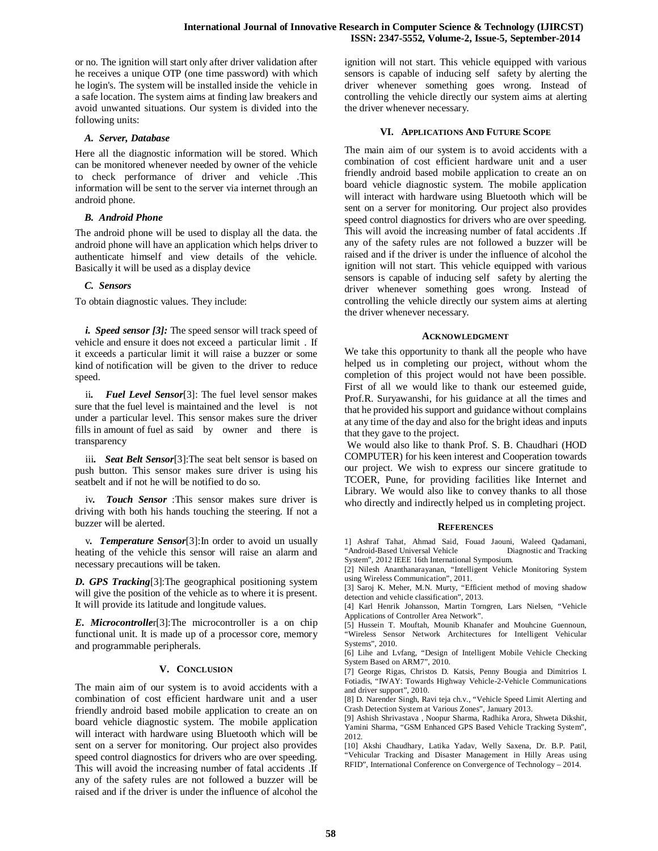or no. The ignition will start only after driver validation after he receives a unique OTP (one time password) with which he login's. The system will be installed inside the vehicle in a safe location. The system aims at finding law breakers and avoid unwanted situations. Our system is divided into the following units:

## *A. Server, Database*

Here all the diagnostic information will be stored. Which can be monitored whenever needed by owner of the vehicle to check performance of driver and vehicle .This information will be sent to the server via internet through an android phone.

## *B. Android Phone*

The android phone will be used to display all the data. the android phone will have an application which helps driver to authenticate himself and view details of the vehicle. Basically it will be used as a display device

## *C. Sensors*

To obtain diagnostic values. They include:

*i. Speed sensor [3]:* The speed sensor will track speed of vehicle and ensure it does not exceed a particular limit . If it exceeds a particular limit it will raise a buzzer or some kind of notification will be given to the driver to reduce speed.

ii*. Fuel Level Sensor*[3]: The fuel level sensor makes sure that the fuel level is maintained and the level is not under a particular level. This sensor makes sure the driver fills in amount of fuel as said by owner and there is transparency

iii*. Seat Belt Sensor*[3]:The seat belt sensor is based on push button. This sensor makes sure driver is using his seatbelt and if not he will be notified to do so.

iv*. Touch Sensor* :This sensor makes sure driver is driving with both his hands touching the steering. If not a buzzer will be alerted.

v*. Temperature Sensor*[3]:In order to avoid un usually heating of the vehicle this sensor will raise an alarm and necessary precautions will be taken.

*D. GPS Tracking*[3]:The geographical positioning system will give the position of the vehicle as to where it is present. It will provide its latitude and longitude values.

*E. Microcontrolle*r[3]:The microcontroller is a on chip functional unit. It is made up of a processor core, memory and programmable peripherals.

#### **V. CONCLUSION**

The main aim of our system is to avoid accidents with a combination of cost efficient hardware unit and a user friendly android based mobile application to create an on board vehicle diagnostic system. The mobile application will interact with hardware using Bluetooth which will be sent on a server for monitoring. Our project also provides speed control diagnostics for drivers who are over speeding. This will avoid the increasing number of fatal accidents .If any of the safety rules are not followed a buzzer will be raised and if the driver is under the influence of alcohol the

ignition will not start. This vehicle equipped with various sensors is capable of inducing self safety by alerting the driver whenever something goes wrong. Instead of controlling the vehicle directly our system aims at alerting the driver whenever necessary.

## **VI. APPLICATIONS AND FUTURE SCOPE**

The main aim of our system is to avoid accidents with a combination of cost efficient hardware unit and a user friendly android based mobile application to create an on board vehicle diagnostic system. The mobile application will interact with hardware using Bluetooth which will be sent on a server for monitoring. Our project also provides speed control diagnostics for drivers who are over speeding. This will avoid the increasing number of fatal accidents .If any of the safety rules are not followed a buzzer will be raised and if the driver is under the influence of alcohol the ignition will not start. This vehicle equipped with various sensors is capable of inducing self safety by alerting the driver whenever something goes wrong. Instead of controlling the vehicle directly our system aims at alerting the driver whenever necessary.

## **ACKNOWLEDGMENT**

We take this opportunity to thank all the people who have helped us in completing our project, without whom the completion of this project would not have been possible. First of all we would like to thank our esteemed guide, Prof.R. Suryawanshi, for his guidance at all the times and that he provided his support and guidance without complains at any time of the day and also for the bright ideas and inputs that they gave to the project.

We would also like to thank Prof. S. B. Chaudhari (HOD COMPUTER) for his keen interest and Cooperation towards our project. We wish to express our sincere gratitude to TCOER, Pune, for providing facilities like Internet and Library. We would also like to convey thanks to all those who directly and indirectly helped us in completing project.

#### **REFERENCES**

1] Ashraf Tahat, Ahmad Said, Fouad Jaouni, Waleed Qadamani, "Android-Based Universal Vehicle Diagnostic and Tracking System", 2012 IEEE 16th International Symposium.

[2] Nilesh Ananthanarayanan, "Intelligent Vehicle Monitoring System using Wireless Communication", 2011.

[3] Saroj K. Meher, M.N. Murty, "Efficient method of moving shadow detection and vehicle classification", 2013.

[4] Karl Henrik Johansson, Martin Torngren, Lars Nielsen, "Vehicle Applications of Controller Area Network".

[5] Hussein T. Mouftah, Mounib Khanafer and Mouhcine Guennoun, "Wireless Sensor Network Architectures for Intelligent Vehicular Systems", 2010.

[6] Lihe and Lvfang, "Design of Intelligent Mobile Vehicle Checking System Based on ARM7", 2010.

[7] George Rigas, Christos D. Katsis, Penny Bougia and Dimitrios I. Fotiadis, "IWAY: Towards Highway Vehicle-2-Vehicle Communications and driver support", 2010.

[8] D. Narender Singh, Ravi teja ch.v., "Vehicle Speed Limit Alerting and Crash Detection System at Various Zones", January 2013.

[9] Ashish Shrivastava , Noopur Sharma, Radhika Arora, Shweta Dikshit, Yamini Sharma, "GSM Enhanced GPS Based Vehicle Tracking System", 2012.

[10] Akshi Chaudhary, Latika Yadav, Welly Saxena, Dr. B.P. Patil, "Vehicular Tracking and Disaster Management in Hilly Areas using RFID", International Conference on Convergence of Technology – 2014.